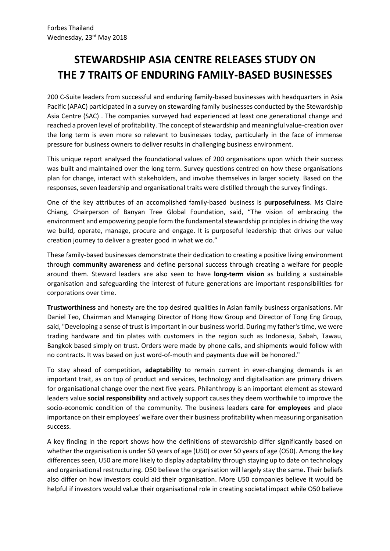# **STEWARDSHIP ASIA CENTRE RELEASES STUDY ON THE 7 TRAITS OF ENDURING FAMILY-BASED BUSINESSES**

200 C-Suite leaders from successful and enduring family-based businesses with headquarters in Asia Pacific (APAC) participated in a survey on stewarding family businesses conducted by the Stewardship Asia Centre (SAC) . The companies surveyed had experienced at least one generational change and reached a proven level of profitability. The concept of stewardship and meaningful value-creation over the long term is even more so relevant to businesses today, particularly in the face of immense pressure for business owners to deliver results in challenging business environment.

This unique report analysed the foundational values of 200 organisations upon which their success was built and maintained over the long term. Survey questions centred on how these organisations plan for change, interact with stakeholders, and involve themselves in larger society. Based on the responses, seven leadership and organisational traits were distilled through the survey findings.

One of the key attributes of an accomplished family-based business is **purposefulness**. Ms Claire Chiang, Chairperson of Banyan Tree Global Foundation, said, "The vision of embracing the environment and empowering people form the fundamental stewardship principles in driving the way we build, operate, manage, procure and engage. It is purposeful leadership that drives our value creation journey to deliver a greater good in what we do."

These family-based businesses demonstrate their dedication to creating a positive living environment through **community awareness** and define personal success through creating a welfare for people around them. Steward leaders are also seen to have **long-term vision** as building a sustainable organisation and safeguarding the interest of future generations are important responsibilities for corporations over time.

**Trustworthiness** and honesty are the top desired qualities in Asian family business organisations. Mr Daniel Teo, Chairman and Managing Director of Hong How Group and Director of Tong Eng Group, said, "Developing a sense of trust is important in our business world. During my father's time, we were trading hardware and tin plates with customers in the region such as Indonesia, Sabah, Tawau, Bangkok based simply on trust. Orders were made by phone calls, and shipments would follow with no contracts. It was based on just word-of-mouth and payments due will be honored."

To stay ahead of competition, **adaptability** to remain current in ever-changing demands is an important trait, as on top of product and services, technology and digitalisation are primary drivers for organisational change over the next five years. Philanthropy is an important element as steward leaders value **social responsibility** and actively support causes they deem worthwhile to improve the socio-economic condition of the community. The business leaders **care for employees** and place importance on their employees' welfare over their business profitability when measuring organisation success.

A key finding in the report shows how the definitions of stewardship differ significantly based on whether the organisation is under 50 years of age (U50) or over 50 years of age (O50). Among the key differences seen, U50 are more likely to display adaptability through staying up to date on technology and organisational restructuring. O50 believe the organisation will largely stay the same. Their beliefs also differ on how investors could aid their organisation. More U50 companies believe it would be helpful if investors would value their organisational role in creating societal impact while O50 believe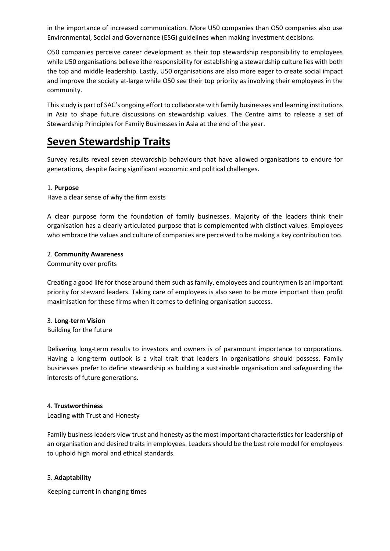in the importance of increased communication. More U50 companies than O50 companies also use Environmental, Social and Governance (ESG) guidelines when making investment decisions.

O50 companies perceive career development as their top stewardship responsibility to employees while U50 organisations believe ithe responsibility for establishing a stewardship culture lies with both the top and middle leadership. Lastly, U50 organisations are also more eager to create social impact and improve the society at-large while O50 see their top priority as involving their employees in the community.

This study is part of SAC's ongoing effort to collaborate with family businesses and learning institutions in Asia to shape future discussions on stewardship values. The Centre aims to release a set of Stewardship Principles for Family Businesses in Asia at the end of the year.

# **Seven Stewardship Traits**

Survey results reveal seven stewardship behaviours that have allowed organisations to endure for generations, despite facing significant economic and political challenges.

# 1. **Purpose**

Have a clear sense of why the firm exists

A clear purpose form the foundation of family businesses. Majority of the leaders think their organisation has a clearly articulated purpose that is complemented with distinct values. Employees who embrace the values and culture of companies are perceived to be making a key contribution too.

# 2. **Community Awareness**

Community over profits

Creating a good life for those around them such asfamily, employees and countrymen is an important priority for steward leaders. Taking care of employees is also seen to be more important than profit maximisation for these firms when it comes to defining organisation success.

# 3. **Long-term Vision**

Building for the future

Delivering long-term results to investors and owners is of paramount importance to corporations. Having a long-term outlook is a vital trait that leaders in organisations should possess. Family businesses prefer to define stewardship as building a sustainable organisation and safeguarding the interests of future generations.

# 4. **Trustworthiness**

Leading with Trust and Honesty

Family business leaders view trust and honesty as the most important characteristics for leadership of an organisation and desired traits in employees. Leaders should be the best role model for employees to uphold high moral and ethical standards.

# 5. **Adaptability**

Keeping current in changing times